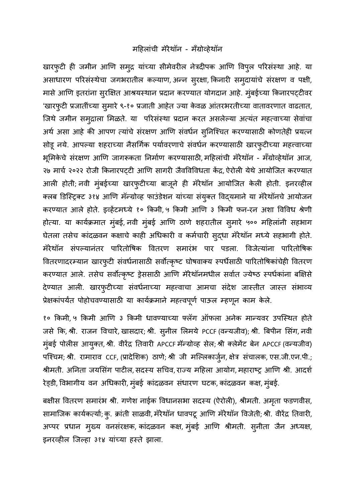## महिलांची मॅरेथॉन - मॅंग्रोव्हेथॉन

खारफुटी ही जमीन आणि समुद्र यांच्या सीमेवरील नेत्रदीपक आणि विपुल परिसंस्था आहे. या असाधारण परिसंस्थेचा जगभरातील कल्याण, अन्न सुरक्षा, किनारी समुदायांचे संरक्षण व पक्षी, मासे आणि इतरांना सुरक्षित आश्रयस्थान प्रदान करण्यात योगदान आहे. मुंबईच्या किनारपट्टीवर 'खारफुटी प्रजातींच्या सुमारे ९-१० प्रजाती आहेत ज्या केवळ आंतरभरतीच्या वातावरणात वाढतात, जिथे जमीन समुद्राला मिळते. या परिसंस्था प्रदान करत असलेल्या अत्यंत महत्वाच्या सेवांचा अर्थ असा आहे की आपण त्यांचे संरक्षण आणि संवर्धन सुनिश्चित करण्यासाठी कोणतेही प्रयत्न सोडू नये. आपल्या शहराच्या नैसर्गिक पर्यावरणाचे संवर्धन करण्यासाठी खारफुटीच्या महत्त्वाच्या भूमिकेचे संरक्षण आणि जागरूकता निर्माण करण्यासाठी, महिलांची मॅरेथॉन - मॅंग्रोव्हेथॉन आज, २७ मार्च २०२२ रोजी किनारपट्टी आणि सागरी जैवविविधता केंद्र, ऐरोली येथे आयोजित करण्यात आली होती; नवी मुंबईच्या खारफुटीच्या बाजूने ही मॅरेथॉन आयोजित केली होती. इनरव्हील क्लब डिस्ट्रिक्ट ३१४ आणि मॅन्ग्रोव्ह फाउंडेशन यांच्या संयुक्त विद्यमाने या मॅरेथॉनचे आयोजन करण्यात आले होते. इव्हेंटमध्ये १० किमी, ५ किमी आणि ३ किमी फन-रन अशा विविध श्रेणी होत्या. या कार्यक्रमात मुंबई, नवी मुंबई आणि ठाणे शहरातील सुमारे ५०० महिलांनी सहभाग घेतला तसेच कांदळवन कक्षाचे काही अधिकारी व कर्मचारी सुद्धा मॅरेथॉन मध्ये सहभागी होते. मॅरेथॉन संपल्यानंतर पारितोषिक वितरण समारंभ पार पडला. विजेत्यांना पारितोषिक वितरणादरम्यान खारफुटी संवर्धनासाठी सर्वोत्कृष्ट घोषवाक्य स्पर्धेसाठी पारितोषिकांचेही वितरण करण्यात आले. तसेच सर्वोत्कृष्ट ड्रेससाठी आणि मॅरेथॉनमधील सर्वात ज्येष्ठ स्पर्धकांना बक्षिसे देण्यात आली. खारफुटीच्या संवर्धनाच्या महत्त्वाचा आमचा संदेश जास्तीत जास्त संभाव्य प्रेक्षकांपर्यत पोहोचवण्यासाठी या कार्यक्रमाने महत्त्वपूर्ण पाऊल म्हणून काम केले.

१० किमी, ५ किमी आणि ३ किमी धावण्याच्या फ्लॅग ऑफला अनेक मान्यवर उपस्थित होते जसे कि, श्री. राजन विचारे, खासदार; श्री. सुनील लिमये PCCF (वन्यजीव); श्री. बिपीन सिंग, नवी मुंबई पोलीस आयुक्त, श्री. वीरेंद्र तिवारी APCCF मॅन्ग्रोव्ह सेल; श्री क्लेमेंट बेन APCCF (वन्यजीव) पश्चिम; श्री. रामाराव CCF, (प्रादेशिक) ठाणे; श्री जी मल्लिकार्जुन, क्षेत्र संचालक, एस.जी.एन.पी.; श्रीमती. अनिता जयसिंग पाटील, सदस्य सचिव, राज्य महिला आयोग, महाराष्ट्र आणि श्री. आदर्श रेड्डी, विभागीय वन अधिकारी, मुंबई कांदळवन संधारण घटक, कांदळवन कक्ष, मुंबई.

बक्षीस वितरण समारंभ श्री. गणेश नाईक विधानसभा सदस्य (ऐरोली), श्रीमती. अमृता फडणवीस, सामाजिक कार्यकर्त्या; कृ. क्रांती साळवी, मॅरेथॉन धावपटू आणि मॅरेथॉन विजेती; श्री. वीरेंद्र तिवारी, अप्पर प्रधान मुख्य वनसंरक्षक, कांदळवन कक्ष, मुंबई आणि श्रीमती. सुनीता जैन अध्यक्ष, इनरव्हील जिल्हा ३१४ यांच्या हस्ते झाला.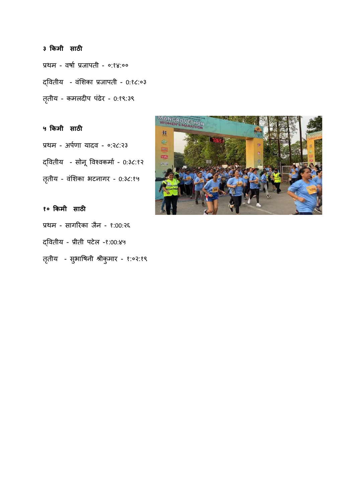## **३ किमी साठी**

प्रथम - वर्षा प्रजापती - ०:१४:०० द्वितीय - वंशिका प्रजापती - 0:१८:०३ तृतीय - कमलदीप पंढेर - 0:१९:३९

**५ किमी साठी** प्रथम - अर्पणा यादव - ०:२८:२३ द्वितीय - सोनू विश्वकर्मा - 0:३८:१२ तृतीय - वंशिका भटनागर - 0:3८:१५

**१० किमी साठी** प्रथम - सागरिका जैन - १:00:२६ द्ववतीय - प्रीती पटेल -१:00:४५ तृतीय - सुभाषिनी श्रीकुमार - १:०२:१९

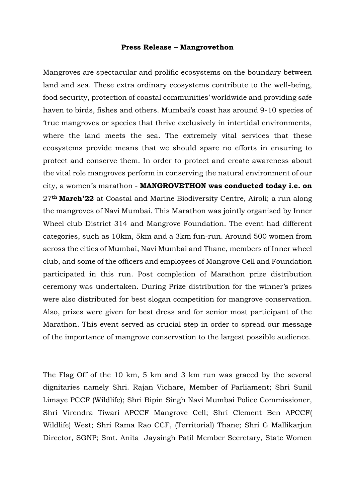## **Press Release – Mangrovethon**

Mangroves are spectacular and prolific ecosystems on the boundary between land and sea. These extra ordinary ecosystems contribute to the well-being, food security, protection of coastal communities' worldwide and providing safe haven to birds, fishes and others. Mumbai's coast has around 9-10 species of 'true mangroves or species that thrive exclusively in intertidal environments, where the land meets the sea. The extremely vital services that these ecosystems provide means that we should spare no efforts in ensuring to protect and conserve them. In order to protect and create awareness about the vital role mangroves perform in conserving the natural environment of our city, a women's marathon - **MANGROVETHON was conducted today i.e. on**  27**th March'22** at Coastal and Marine Biodiversity Centre, Airoli; a run along the mangroves of Navi Mumbai. This Marathon was jointly organised by Inner Wheel club District 314 and Mangrove Foundation. The event had different categories, such as 10km, 5km and a 3km fun-run. Around 500 women from across the cities of Mumbai, Navi Mumbai and Thane, members of Inner wheel club, and some of the officers and employees of Mangrove Cell and Foundation participated in this run. Post completion of Marathon prize distribution ceremony was undertaken. During Prize distribution for the winner's prizes were also distributed for best slogan competition for mangrove conservation. Also, prizes were given for best dress and for senior most participant of the Marathon. This event served as crucial step in order to spread our message of the importance of mangrove conservation to the largest possible audience.

The Flag Off of the 10 km, 5 km and 3 km run was graced by the several dignitaries namely Shri. Rajan Vichare, Member of Parliament; Shri Sunil Limaye PCCF (Wildlife); Shri Bipin Singh Navi Mumbai Police Commissioner, Shri Virendra Tiwari APCCF Mangrove Cell; Shri Clement Ben APCCF( Wildlife) West; Shri Rama Rao CCF, (Territorial) Thane; Shri G Mallikarjun Director, SGNP; Smt. Anita Jaysingh Patil Member Secretary, State Women